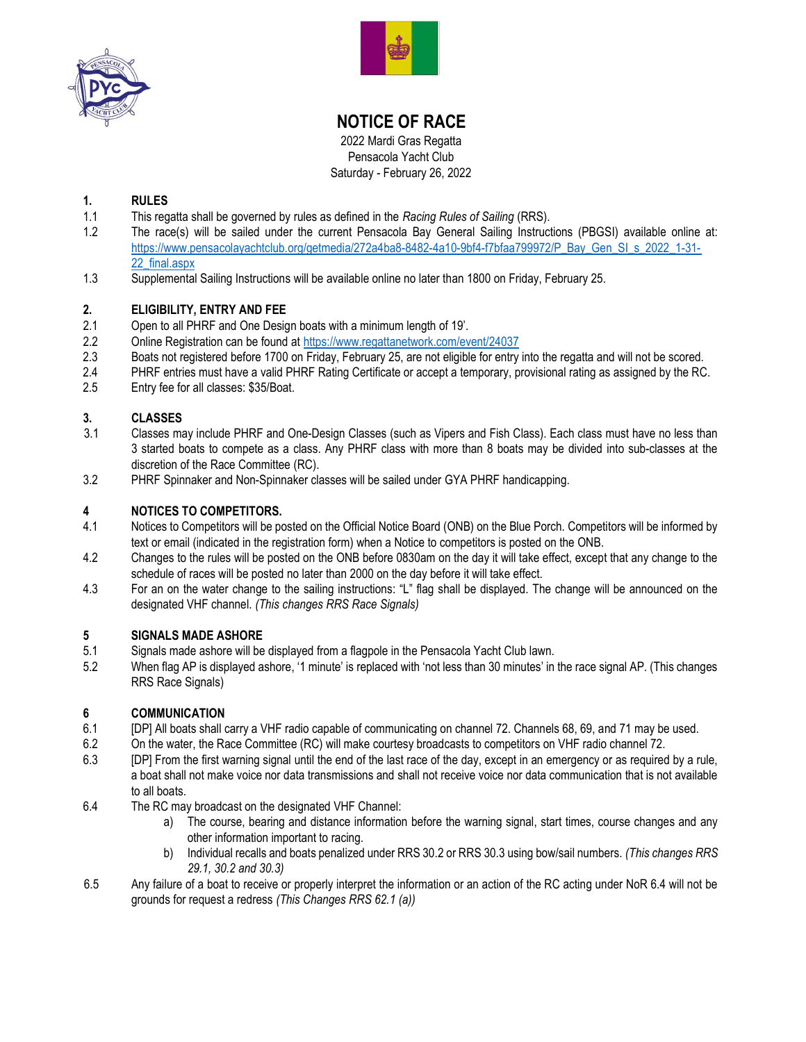



# NOTICE OF RACE

2022 Mardi Gras Regatta Pensacola Yacht Club Saturday - February 26, 2022

# 1. RULES

- 1.1 This regatta shall be governed by rules as defined in the Racing Rules of Sailing (RRS).
- 1.2 The race(s) will be sailed under the current Pensacola Bay General Sailing Instructions (PBGSI) available online at: https://www.pensacolayachtclub.org/getmedia/272a4ba8-8482-4a10-9bf4-f7bfaa799972/P\_Bay\_Gen\_SI\_s\_2022\_1-31-22\_final.aspx
- 1.3 Supplemental Sailing Instructions will be available online no later than 1800 on Friday, February 25.

# 2. ELIGIBILITY, ENTRY AND FEE

- 2.1 Open to all PHRF and One Design boats with a minimum length of 19'.
- 2.2 Online Registration can be found at https://www.regattanetwork.com/event/24037
- 2.3 Boats not registered before 1700 on Friday, February 25, are not eligible for entry into the regatta and will not be scored.
- 2.4 PHRF entries must have a valid PHRF Rating Certificate or accept a temporary, provisional rating as assigned by the RC.
- 2.5 Entry fee for all classes: \$35/Boat.

#### 3. CLASSES

- 3.1 Classes may include PHRF and One-Design Classes (such as Vipers and Fish Class). Each class must have no less than 3 started boats to compete as a class. Any PHRF class with more than 8 boats may be divided into sub-classes at the discretion of the Race Committee (RC).
- 3.2 PHRF Spinnaker and Non-Spinnaker classes will be sailed under GYA PHRF handicapping.

# 4 NOTICES TO COMPETITORS.

- 4.1 Notices to Competitors will be posted on the Official Notice Board (ONB) on the Blue Porch. Competitors will be informed by text or email (indicated in the registration form) when a Notice to competitors is posted on the ONB.
- 4.2 Changes to the rules will be posted on the ONB before 0830am on the day it will take effect, except that any change to the schedule of races will be posted no later than 2000 on the day before it will take effect.
- 4.3 For an on the water change to the sailing instructions: "L" flag shall be displayed. The change will be announced on the designated VHF channel. (This changes RRS Race Signals)

# 5 **SIGNALS MADE ASHORE**<br>5.1 Signals made ashore will be

- Signals made ashore will be displayed from a flagpole in the Pensacola Yacht Club lawn.
- 5.2 When flag AP is displayed ashore, '1 minute' is replaced with 'not less than 30 minutes' in the race signal AP. (This changes RRS Race Signals)

# 6 COMMUNICATION

- 6.1 [DP] All boats shall carry a VHF radio capable of communicating on channel 72. Channels 68, 69, and 71 may be used.
- 6.2 On the water, the Race Committee (RC) will make courtesy broadcasts to competitors on VHF radio channel 72.
- 6.3 [DP] From the first warning signal until the end of the last race of the day, except in an emergency or as required by a rule, a boat shall not make voice nor data transmissions and shall not receive voice nor data communication that is not available to all boats.
- 6.4 The RC may broadcast on the designated VHF Channel:
	- a) The course, bearing and distance information before the warning signal, start times, course changes and any other information important to racing.
	- b) Individual recalls and boats penalized under RRS 30.2 or RRS 30.3 using bow/sail numbers. (This changes RRS 29.1, 30.2 and 30.3)
- 6.5 Any failure of a boat to receive or properly interpret the information or an action of the RC acting under NoR 6.4 will not be grounds for request a redress (This Changes RRS 62.1 (a))